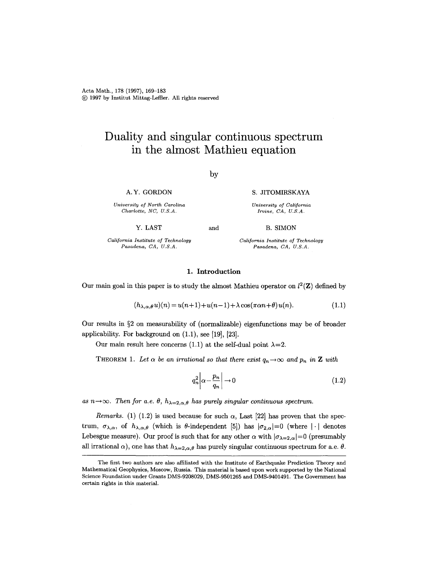# **Duality and singular continuous spectrum in the almost Mathieu equation**

by

A.Y. GORDON

*University of North Carolina Charlotte, NC, U.S.A.* 

Y. LAST

B. SIMON

*California Institute of Technology Pasadena, CA, U.S.A.* 

*California Institute of Technology Pasadena, CA, U.S.A.* 

S. JITOMIRSKAYA *University of California Irvine, CA, U.S.A.* 

#### 1. Introduction

and

Our main goal in this paper is to study the almost Mathieu operator on  $l^2(\mathbf{Z})$  defined by

$$
(h_{\lambda,\alpha,\theta}u)(n) = u(n+1) + u(n-1) + \lambda \cos(\pi\alpha n + \theta)u(n). \tag{1.1}
$$

Our results in  $\S 2$  on measurability of (normalizable) eigenfunctions may be of broader applicability. For background on (1.1), see [19], [23].

Our main result here concerns (1.1) at the self-dual point  $\lambda=2$ .

THEOREM 1. Let  $\alpha$  be an irrational so that there exist  $q_n \to \infty$  and  $p_n$  in **Z** with

$$
q_n^2 \left| \alpha - \frac{p_n}{q_n} \right| \to 0 \tag{1.2}
$$

as  $n\rightarrow\infty$ . Then for a.e.  $\theta$ ,  $h_{\lambda=2,\alpha,\theta}$  has purely singular continuous spectrum.

*Remarks.* (1) (1.2) is used because for such  $\alpha$ , Last [22] has proven that the spectrum,  $\sigma_{\lambda,\alpha}$ , of  $h_{\lambda,\alpha,\theta}$  (which is  $\theta$ -independent [5]) has  $|\sigma_{2,\alpha}|=0$  (where  $|\cdot|$  denotes Lebesgue measure). Our proof is such that for any other  $\alpha$  with  $|\sigma_{\lambda=2,\alpha}|=0$  (presumably all irrational  $\alpha$ ), one has that  $h_{\lambda=2,\alpha,\theta}$  has purely singular continuous spectrum for a.e.  $\theta$ .

The first two authors axe also affiliated with the Institute of Earthquake Prediction Theory and Mathematical Geophysics, Moscow, Russia. This material is based upon work supported by the National Science Foundation under Grants DMS-9208029, DMS-9501265 and DMS-9401491. The Government has certain rights in this material.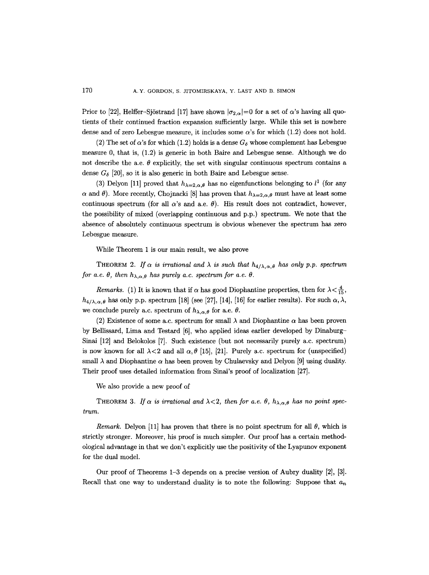Prior to [22], Helffer-Sjöstrand [17] have shown  $|\sigma_{2,\alpha}|=0$  for a set of  $\alpha$ 's having all quotients of their continued fraction expansion sufficiently large. While this set is nowhere dense and of zero Lebesgue measure, it includes some  $\alpha$ 's for which (1.2) does not hold.

(2) The set of  $\alpha$ 's for which (1.2) holds is a dense  $G_{\delta}$  whose complement has Lebesgue measure 0, that is, (1.2) is generic in both Baire and Lebesgue sense. Although we do not describe the a.e.  $\theta$  explicitly, the set with singular continuous spectrum contains a dense  $G_{\delta}$  [20], so it is also generic in both Baire and Lebesgue sense.

(3) Delyon [11] proved that  $h_{\lambda=2,\alpha,\theta}$  has no eigenfunctions belonging to  $l^1$  (for any  $\alpha$  and  $\theta$ ). More recently, Chojnacki [8] has proven that  $h_{\lambda=2,\alpha,\theta}$  must have at least some continuous spectrum (for all  $\alpha$ 's and a.e.  $\theta$ ). His result does not contradict, however, the possibility of mixed (overlapping continuous and p.p.) spectrum. We note that the absence of absolutely continuous spectrum is obvious whenever the spectrum has zero Lebesgue measure.

While Theorem 1 is our main result, we also prove

THEOREM 2. If  $\alpha$  is irrational and  $\lambda$  is such that  $h_{4/\lambda,\alpha,\theta}$  has only p.p. spectrum *for a.e.*  $\theta$ *, then*  $h_{\lambda,\alpha,\theta}$  *has purely a.c. spectrum for a.e.*  $\theta$ *.* 

*Remarks.* (1) It is known that if  $\alpha$  has good Diophantine properties, then for  $\lambda < \frac{4}{15}$ ,  $h_{4/\lambda,\alpha,\theta}$  has only p.p. spectrum [18] (see [27], [14], [16] for earlier results). For such  $\alpha,\lambda$ , we conclude purely a.c. spectrum of  $h_{\lambda,\alpha,\theta}$  for a.e.  $\theta$ .

(2) Existence of some a.c. spectrum for small  $\lambda$  and Diophantine  $\alpha$  has been proven by Bellissard, Lima and Testard [6], who applied ideas earlier developed by Dinaburg-Sinai [12] and Belokolos [7]. Such existence (but not necessarily purely a.c. spectrum) is now known for all  $\lambda$ <2 and all  $\alpha$ ,  $\theta$  [15], [21]. Purely a.c. spectrum for (unspecified) small  $\lambda$  and Diophantine  $\alpha$  has been proven by Chulaevsky and Delyon [9] using duality. Their proof uses detailed information from Sinai's proof of localization [27].

We also provide a new proof of

THEOREM 3. If  $\alpha$  is irrational and  $\lambda < 2$ , then for a.e.  $\theta$ ,  $h_{\lambda,\alpha,\theta}$  has no point spec*trum.* 

*Remark.* Delyon [11] has proven that there is no point spectrum for all  $\theta$ , which is strictly stronger. Moreover, his proof is much simpler. Our proof has a certain methodological advantage in that we don't explicitly use the positivity of the Lyapunov exponent for the dual model.

Our proof of Theorems 1-3 depends on a precise version of Aubry duality [2], [3]. Recall that one way to understand duality is to note the following: Suppose that  $a_n$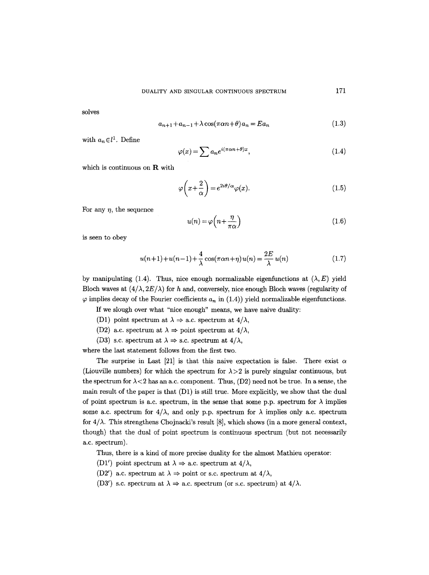solves

$$
a_{n+1} + a_{n-1} + \lambda \cos(\pi \alpha n + \theta) a_n = E a_n \tag{1.3}
$$

with  $a_n \in l^1$ . Define

$$
\varphi(x) = \sum a_n e^{i(\pi \alpha n + \theta)x},\tag{1.4}
$$

which is continuous on R with

$$
\varphi\left(x+\frac{2}{\alpha}\right) = e^{2i\theta/\alpha}\varphi(x). \tag{1.5}
$$

For any  $\eta$ , the sequence

$$
u(n) = \varphi\left(n + \frac{\eta}{\pi \alpha}\right) \tag{1.6}
$$

is seen to obey

$$
u(n+1) + u(n-1) + \frac{4}{\lambda} \cos(\pi \alpha n + \eta) u(n) = \frac{2E}{\lambda} u(n)
$$
 (1.7)

by manipulating (1.4). Thus, nice enough normalizable eigenfunctions at  $(\lambda, E)$  yield Bloch waves at  $(4/\lambda, 2E/\lambda)$  for h and, conversely, nice enough Bloch waves (regularity of  $\varphi$  implies decay of the Fourier coefficients  $a_n$  in (1.4)) yield normalizable eigenfunctions.

If we slough over what "nice enough" means, we have naive duality:

- (D1) point spectrum at  $\lambda \Rightarrow$  a.c. spectrum at  $4/\lambda$ ,
- (D2) a.c. spectrum at  $\lambda \Rightarrow$  point spectrum at  $4/\lambda$ ,
- (D3) s.c. spectrum at  $\lambda \Rightarrow$  s.c. spectrum at  $4/\lambda$ ,

where the last statement follows from the first two.

The surprise in Last [21] is that this naive expectation is false. There exist  $\alpha$ (Liouville numbers) for which the spectrum for  $\lambda > 2$  is purely singular continuous, but the spectrum for  $\lambda < 2$  has an a.c. component. Thus, (D2) need not be true. In a sense, the main result of the paper is that (D1) is still true. More explicitly, we show that the dual of point spectrum is a.c. spectrum, in the sense that some p.p. spectrum for  $\lambda$  implies some a.c. spectrum for  $4/\lambda$ , and only p.p. spectrum for  $\lambda$  implies only a.c. spectrum for  $4/\lambda$ . This strengthens Chojnacki's result [8], which shows (in a more general context, though) that the dual of point spectrum is continuous spectrum (but not necessarily a.c. spectrum).

Thus, there is a kind of more precise duality for the almost Mathieu operator:

- (D1') point spectrum at  $\lambda \Rightarrow$  a.c. spectrum at  $4/\lambda$ ,
- (D2') a.c. spectrum at  $\lambda \Rightarrow$  point or s.c. spectrum at  $4/\lambda$ ,
- (D3') s.c. spectrum at  $\lambda \Rightarrow$  a.c. spectrum (or s.c. spectrum) at  $4/\lambda$ .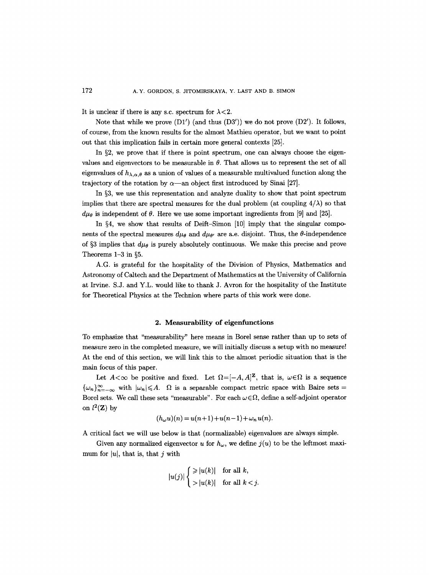It is unclear if there is any s.c. spectrum for  $\lambda < 2$ .

Note that while we prove  $(D1')$  (and thus  $(D3')$ ) we do not prove  $(D2')$ . It follows, of course, from the known results for the almost Mathieu operator, but we want to point out that this implication fails in certain more general contexts [25].

In  $\S2$ , we prove that if there is point spectrum, one can always choose the eigenvalues and eigenvectors to be measurable in  $\theta$ . That allows us to represent the set of all eigenvalues of  $h_{\lambda,\alpha,\theta}$  as a union of values of a measurable multivalued function along the trajectory of the rotation by  $\alpha$ —an object first introduced by Sinai [27].

In  $\S$ 3, we use this representation and analyze duality to show that point spectrum implies that there are spectral measures for the dual problem (at coupling  $4/\lambda$ ) so that  $d\mu_{\theta}$  is independent of  $\theta$ . Here we use some important ingredients from [9] and [25].

In  $\S4$ , we show that results of Deift-Simon [10] imply that the singular components of the spectral measures  $d\mu_{\theta}$  and  $d\mu_{\theta'}$  are a.e. disjoint. Thus, the  $\theta$ -independence of §3 implies that  $d\mu_{\theta}$  is purely absolutely continuous. We make this precise and prove Theorems  $1-3$  in §5.

A.G. is grateful for the hospitality of the Division of Physics, Mathematics and Astronomy of Caltech and the Department of Mathematics at the University of California at Irvine. S.J. and Y.L. would like to thank J. Avron for the hospitality of the Institute for Theoretical Physics at the Technion where parts of this work were done.

## 2. **Measurability of** eigenfunctions

To emphasize that "measurability" here means in Borel sense rather than up to sets of measure zero in the completed measure, we will initially discuss a setup with no measure! At the end of this section, we will link this to the almost periodic situation that is the main focus of this paper.

Let  $A<\infty$  be positive and fixed. Let  $\Omega=[-A,A]^{\mathbb{Z}}$ , that is,  $\omega\in\Omega$  is a sequence  ${\{\omega_n\}}_{n=-\infty}^{\infty}$  with  $|\omega_n| \leq A$ .  $\Omega$  is a separable compact metric space with Baire sets = Borel sets. We call these sets "measurable". For each  $\omega \in \Omega$ , define a self-adjoint operator on  $l^2(\mathbf{Z})$  by

$$
(h_{\omega}u)(n) = u(n+1) + u(n-1) + \omega_n u(n).
$$

A critical fact we will use below is that (normalizable) eigenvalues are always simple.

Given any normalized eigenvector u for  $h_{\omega}$ , we define  $j(u)$  to be the leftmost maximum for  $|u|$ , that is, that j with

$$
|u(j)| \begin{cases} \geq |u(k)| & \text{for all } k, \\ > |u(k)| & \text{for all } k < j. \end{cases}
$$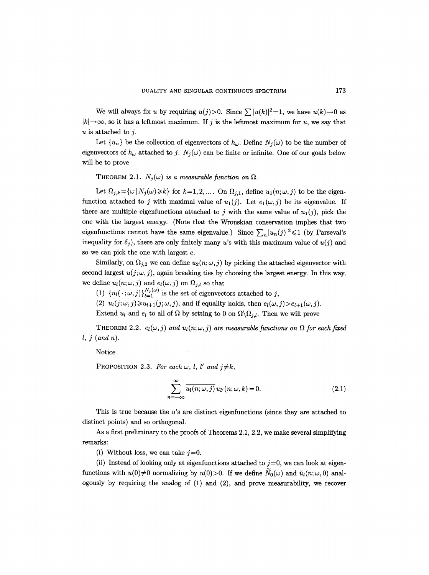We will always fix u by requiring  $u(j) > 0$ . Since  $\sum |u(k)|^2 = 1$ , we have  $u(k) \rightarrow 0$  as  $|k| \rightarrow \infty$ , so it has a leftmost maximum. If j is the leftmost maximum for u, we say that  $u$  is attached to j.

Let  $\{u_n\}$  be the collection of eigenvectors of  $h_\omega$ . Define  $N_i(\omega)$  to be the number of eigenvectors of  $h_{\omega}$  attached to j.  $N_i(\omega)$  can be finite or infinite. One of our goals below will be to prove

THEOREM 2.1.  $N_i(\omega)$  *is a measurable function on*  $\Omega$ .

Let  $\Omega_{j,k} = {\omega | N_j(\omega) \ge k}$  for  $k=1,2,...$  On  $\Omega_{j,1}$ , define  $u_1(n;\omega,j)$  to be the eigenfunction attached to j with maximal value of  $u_1(j)$ . Let  $e_1(\omega, j)$  be its eigenvalue. If there are multiple eigenfunctions attached to j with the same value of  $u_1(i)$ , pick the one with the largest energy. (Note that the Wronskian conservation implies that two eigenfunctions cannot have the same eigenvalue.) Since  $\sum_{n}|u_n(j)|^2 \leq 1$  (by Parseval's inequality for  $\delta_j$ ), there are only finitely many u's with this maximum value of  $u(j)$  and so we can pick the one with largest e.

Similarly, on  $\Omega_{j,2}$  we can define  $u_2(n; \omega, j)$  by picking the attached eigenvector with second largest  $u(j; \omega, j)$ , again breaking ties by choosing the largest energy. In this way, we define  $u_l(n;\omega,j)$  and  $e_l(\omega,j)$  on  $\Omega_{j,l}$  so that

(1)  $\{u_l(\cdot;\omega,j)\}_{l=1}^{N_j(\omega)}$  is the set of eigenvectors attached to j,

(2)  $u_l(j; \omega, j) \geq u_{l+1}(j; \omega, j)$ , and if equality holds, then  $e_l(\omega, j) > e_{l+1}(\omega, j)$ .

Extend  $u_l$  and  $e_l$  to all of  $\Omega$  by setting to 0 on  $\Omega \setminus \Omega_{i,l}$ . Then we will prove

THEOREM 2.2.  $e_l(\omega, j)$  and  $u_l(n; \omega, j)$  are measurable functions on  $\Omega$  for each fixed *l, j (and n).* 

Notice

PROPOSITION 2.3. For each  $\omega$ , *l*, *l'* and  $j \neq k$ ,

 $\boldsymbol{r}$ 

$$
\sum_{k=-\infty}^{\infty} \overline{u_l(n;\omega,j)} u_{l'}(n;\omega,k) = 0.
$$
 (2.1)

This is true because the  $u$ 's are distinct eigenfunctions (since they are attached to distinct points) and so orthogonal.

As a first preliminary to the proofs of Theorems 2.1, 2.2, we make several simplifying remarks:

(i) Without loss, we can take  $j=0$ .

(ii) Instead of looking only at eigenfunctions attached to  $j=0$ , we can look at eigenfunctions with  $u(0)\neq 0$  normalizing by  $u(0)$  > 0. If we define  $N_0(\omega)$  and  $\tilde{u}_l(n; \omega, 0)$  analogously by requiring the analog of  $(1)$  and  $(2)$ , and prove measurability, we recover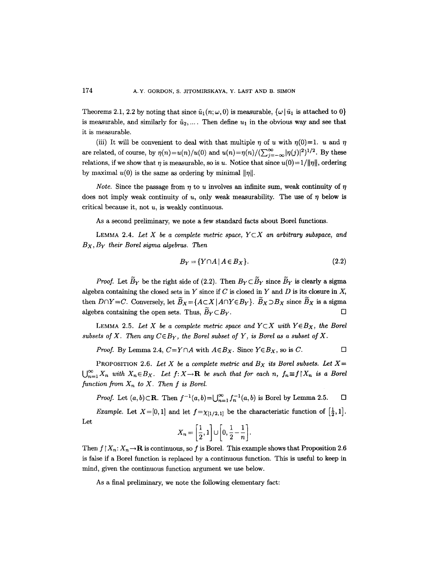Theorems 2.1, 2.2 by noting that since  $\tilde{u}_1(n;\omega,0)$  is measurable,  $\{\omega \mid \tilde{u}_1$  is attached to 0} is measurable, and similarly for  $\tilde{u}_2, \ldots$ . Then define  $u_1$  in the obvious way and see that it is measurable.

(iii) It will be convenient to deal with that multiple  $\eta$  of u with  $\eta(0)=1$ . u and  $\eta$ are related, of course, by  $\eta(n)=u(n)/u(0)$  and  $u(n)=\eta(n)/(\sum_{j=-\infty}^{\infty}|\eta(j)|^2)^{1/2}$ . By these relations, if we show that  $\eta$  is measurable, so is u. Notice that since  $u(0)=1/||\eta||$ , ordering by maximal  $u(0)$  is the same as ordering by minimal  $||\eta||$ .

*Note.* Since the passage from  $\eta$  to u involves an infinite sum, weak continuity of  $\eta$ does not imply weak continuity of  $u$ , only weak measurability. The use of  $\eta$  below is critical because it, not u, is weakly continuous.

As a second preliminary, we note a few standard facts about Borel functions.

LEMMA 2.4. Let X be a complete metric space,  $Y \subset X$  an arbitrary subspace, and *Bx , By their Borel sigma algebras. Then* 

$$
B_Y = \{ Y \cap A \mid A \in B_X \}. \tag{2.2}
$$

*Proof.* Let  $\widetilde{B}_Y$  be the right side of (2.2). Then  $B_Y \subset \widetilde{B}_Y$  since  $\widetilde{B}_Y$  is clearly a sigma algebra containing the closed sets in  $Y$  since if  $C$  is closed in  $Y$  and  $D$  is its closure in  $X$ , then  $D \cap Y = C$ . Conversely, let  $\widetilde{B}_X = \{A \subset X \mid A \cap Y \in B_Y\}$ .  $\widetilde{B}_X \supset B_X$  since  $\widetilde{B}_X$  is a sigma algebra containing the open sets. Thus,  $\widetilde{B}_Y \subset B_Y$ .

LEMMA 2.5. Let X be a complete metric space and  $Y \subset X$  with  $Y \in B_X$ , the Borel *subsets of X. Then any*  $C \in B_Y$ , the Borel subset of Y, is Borel as a subset of X.

*Proof.* By Lemma 2.4, 
$$
C = Y \cap A
$$
 with  $A \in B_X$ . Since  $Y \in B_X$ , so is  $C$ .

PROPOSITION 2.6. Let X be a complete metric and  $B<sub>X</sub>$  its Borel subsets. Let  $X=$  $\bigcup_{n=1}^{\infty} X_n$  with  $X_n \in B_X$ . Let  $f: X \to \mathbf{R}$  be such that for each n,  $f_n \equiv f \mid X_n$  is a Borel function from  $X_n$  to  $X$ . Then  $f$  is Borel.

*Proof.* Let  $(a, b) \subset \mathbb{R}$ . Then  $f^{-1}(a, b) = \bigcup_{n=1}^{\infty} f_n^{-1}(a, b)$  is Borel by Lemma 2.5.  $\Box$ 

*Example.* Let  $X=[0,1]$  and let  $f=\chi_{[1/2,1]}$  be the characteristic function of  $\left[\frac{1}{2},1\right]$ . Let

$$
X_n = \left[\frac{1}{2}, 1\right] \cup \left[0, \frac{1}{2} - \frac{1}{n}\right].
$$

Then  $f \mid X_n: X_n \to \mathbf{R}$  is continuous, so f is Borel. This example shows that Proposition 2.6 is false if a Borel function is replaced by a continuous function. This is useful to keep in mind, given the continuous function argument we use below.

As a final preliminary, we note the following elementary fact: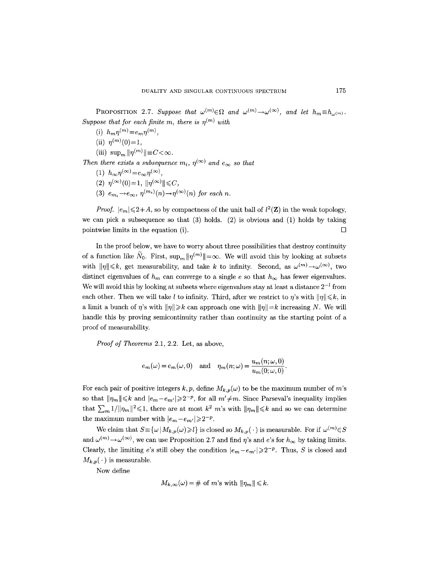PROPOSITION 2.7. Suppose that  $\omega^{(m)} \in \Omega$  and  $\omega^{(m)} \to \omega^{(\infty)}$ , and let  $h_m \equiv h_{\omega^{(m)}}$ . *Suppose that for each finite m, there is*  $n^{(m)}$  with

- (i)  $h_m \eta^{(m)} = e_m \eta^{(m)}$ ,
- (ii)  $\eta^{(m)}(0) = 1$ ,

(iii)  $\sup_{m} ||\eta^{(m)}|| \equiv C < \infty$ .

*Then there exists a subsequence*  $m_i$ ,  $\eta^{(\infty)}$  and  $e_{\infty}$  so that

- (1)  $h_{\infty} \eta^{(\infty)} = e_{\infty} \eta^{(\infty)}$ ,
- $(2)$   $\eta^{(\infty)}(0) = 1$ ,  $\|\eta^{(\infty)}\| \leq C$ ,
- (3)  $e_m \to e_\infty$ ,  $\eta^{(m_i)}(n) \to \eta^{(\infty)}(n)$  for each n.

*Proof.*  $|e_m| \leq 2+A$ , so by compactness of the unit ball of  $l^2(\mathbf{Z})$  in the weak topology, we can pick a subsequence so that  $(3)$  holds.  $(2)$  is obvious and  $(1)$  holds by taking pointwise limits in the equation (i).

In the proof below, we have to worry about three possibilities that destroy continuity of a function like  $\tilde{N}_0$ . First,  $\sup_m ||\eta^{(m)}|| = \infty$ . We will avoid this by looking at subsets with  $\|\eta\|\leq k$ , get measurability, and take k to infinity. Second, as  $\omega^{(m)}\to\omega^{(\infty)}$ , two distinct eigenvalues of  $h_m$  can converge to a single e so that  $h_{\infty}$  has fewer eigenvalues. We will avoid this by looking at subsets where eigenvalues stay at least a distance  $2^{-l}$  from each other. Then we will take l to infinity. Third, after we restrict to  $\eta$ 's with  $\|\eta\| \leq k$ , in a limit a bunch of  $\eta$ 's with  $||\eta|| \geq k$  can approach one with  $||\eta|| = k$  increasing N. We will handle this by proving semicontinuity rather than continuity as the starting point of a proof of measurability.

*Proof of Theorems* 2.1, 2.2. Let, as above,

$$
e_m(\omega) = e_m(\omega, 0)
$$
 and  $\eta_m(n; \omega) = \frac{u_m(n; \omega, 0)}{u_m(0; \omega, 0)}$ .

For each pair of positive integers  $k, p$ , define  $M_{k,p}(\omega)$  to be the maximum number of m's so that  $\|\eta_m\| \leq k$  and  $|e_m - e_{m'}| \geq 2^{-p}$ , for all  $m' \neq m$ . Since Parseval's inequality implies that  $\sum_{m} 1/||\eta_m||^2 \leq 1$ , there are at most  $k^2$  m's with  $||\eta_m|| \leq k$  and so we can determine the maximum number with  $|e_m-e_{m'}|\geqslant 2^{-p}$ .

We claim that  $S = {\omega | M_{k,p}(\omega) \geq l}$  is closed so  $M_{k,p}(\cdot)$  is measurable. For if  $\omega^{(m)} \in S$ and  $\omega^{(m)} \to \omega^{(\infty)}$ , we can use Proposition 2.7 and find  $\eta$ 's and e's for  $h_{\infty}$  by taking limits. Clearly, the limiting *e*'s still obey the condition  $|e_m - e_{m'}| \geq 2^{-p}$ . Thus, *S* is closed and  $M_{k,p}(\cdot)$  is measurable.

Now define

$$
M_{k,\infty}(\omega) = \# \text{ of } m\text{'s with } \|\eta_m\| \leq k.
$$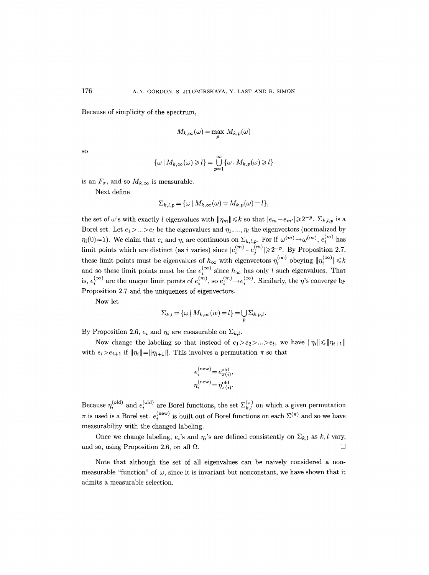Because of simplicity of the spectrum,

$$
M_{k,\infty}(\omega)=\max_p\ M_{k,p}(\omega)
$$

SO

$$
\{\omega \mid M_{k,\infty}(\omega) \geq l\} = \bigcup_{p=1}^{\infty} {\{\omega \mid M_{k,p}(\omega) \geq l\}}
$$

is an  $F_{\sigma}$ , and so  $M_{k,\infty}$  is measurable.

Next define

$$
\Sigma_{k,l,p} = \{ \omega \mid M_{k,\infty}(\omega) = M_{k,p}(\omega) = l \},
$$

the set of w's with exactly l eigenvalues with  $\|\eta_m\| \leq k$  so that  $|e_m - e_{m'}| \geq 2^{-p}$ .  $\Sigma_{k,l,p}$  is a Borel set. Let  $e_1 > ... > e_l$  be the eigenvalues and  $\eta_1, ..., \eta_l$  the eigenvectors (normalized by  $\eta_i(0)=1$ ). We claim that  $e_i$  and  $\eta_i$  are continuous on  $\Sigma_{k,l,p}$ . For if  $\omega^{(m)}\to\omega^{(\infty)}$ ,  $e_i^{(m)}$  has limit points which are distinct (as i varies) since  $|e_i^{(m)}-e_i^{(m)}|\geq 2^{-p}$ . By Proposition 2.7, these limit points must be eigenvalues of  $h_{\infty}$  with eigenvectors  $\eta_i^{(\infty)}$  obeying  $\|\eta_i^{(\infty)}\|\leq k$ and so these limit points must be the  $e_i^{(\infty)}$  since  $h_{\infty}$  has only l such eigenvalues. That is,  $e_i^{(\infty)}$  are the unique limit points of  $e_i^{(m)}$ , so  $e_i^{(m)} \rightarrow e_i^{(\infty)}$ . Similarly, the *n*'s converge by Proposition 2.7 and the uniqueness of eigenvectors.

Now let

$$
\Sigma_{k,l} = \{ \omega \mid M_{k,\infty}(w) = l \} = \bigcup_{p} \Sigma_{k,p,l}.
$$

By Proposition 2.6,  $e_i$  and  $\eta_i$  are measurable on  $\Sigma_{k,l}$ .

Now change the labeling so that instead of  $e_1 > e_2 > ... > e_l$ , we have  $||\eta_i|| \le ||\eta_{i+1}||$ with  $e_i>e_{i+1}$  if  $\|\eta_i\| = \|\eta_{i+1}\|$ . This involves a permutation  $\pi$  so that

$$
\begin{split} e_i^{(\text{new})} & = e_{\pi(i)}^{\text{old}}, \\ \eta_i^{(\text{new})} & = \eta_{\pi(i)}^{\text{old}}. \end{split}
$$

Because  $\eta_i^{(\text{old})}$  and  $e_i^{(\text{old})}$  are Borel functions, the set  $\Sigma_{k,l}^{(\pi)}$  on which a given permutation  $\pi$  is used is a Borel set.  $e_i^{(new)}$  is built out of Borel functions on each  $\Sigma^{(\pi)}$  and so we have measurability with the changed labeling.

Once we change labeling,  $e_i$ 's and  $\eta_i$ 's are defined consistently on  $\Sigma_{k,l}$  as  $k, l$  vary, and so, using Proposition 2.6, on all  $\Omega$ .

Note that although the set of all eigenvalues can be naively considered a nonmeasurable "function" of  $\omega$ , since it is invariant but nonconstant, we have shown that it admits a measurable selection.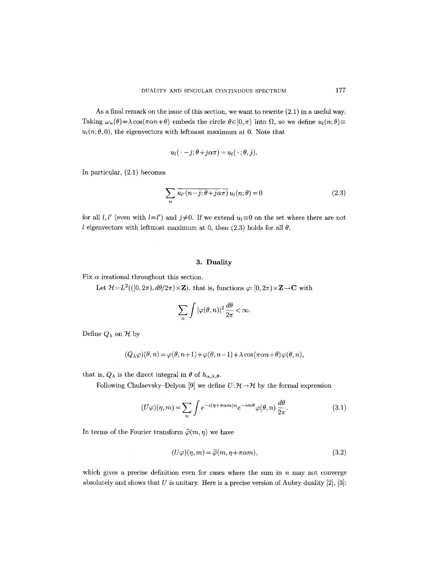As a final remark on the issue of this section, we want to rewrite (2.1) in a useful way. Taking  $\omega_n(\theta) = \lambda \cos(\pi \alpha n + \theta)$  embeds the circle  $\theta \in [0, \pi)$  into  $\Omega$ , so we define  $u_l(n; \theta) =$  $u_l(n; \theta, 0)$ , the eigenvectors with leftmost maximum at 0. Note that

$$
u_l(\cdot-j;\theta+j\alpha\pi)=u_l(\cdot;\theta,j).
$$

In particular, (2.1) becomes

$$
\sum_{n} \overline{u_{l'}(n-j;\theta+j\alpha\pi)} u_{l}(n;\theta) = 0
$$
\n(2.3)

for all *l*, *l'* (even with  $l=l'$ ) and  $j\neq 0$ . If we extend  $u_l\equiv 0$  on the set where there are not l eigenvectors with leftmost maximum at 0, then  $(2.3)$  holds for all  $\theta$ .

# 3. Duality

Fix  $\alpha$  irrational throughout this section.

Let  $H = L^2((0, 2\pi), d\theta/2\pi) \times \mathbb{Z}$ , that is, functions  $\varphi: [0, 2\pi) \times \mathbb{Z} \to \mathbb{C}$  with

$$
\sum_{n}\int |\varphi(\theta,n)|^2\frac{d\theta}{2\pi}<\infty.
$$

Define  $Q_{\lambda}$  on  $\mathcal{H}$  by

$$
(Q_{\lambda}\varphi)(\theta,n) = \varphi(\theta,n+1) + \varphi(\theta,n-1) + \lambda \cos(\pi\alpha n+\theta)\varphi(\theta,n),
$$

that is,  $Q_{\lambda}$  is the direct integral in  $\theta$  of  $h_{\alpha,\lambda,\theta}$ .

Following Chulaevsky-Delyon [9] we define  $U: \mathcal{H} \rightarrow \mathcal{H}$  by the formal expression

$$
(U\varphi)(\eta,m) = \sum_{n} \int e^{-i(\eta + \pi\alpha m)n} e^{-im\theta} \varphi(\theta,n) \frac{d\theta}{2\pi}.
$$
 (3.1)

In terms of the Fourier transform  $\hat{\varphi}(m, \eta)$  we have

$$
(U\varphi)(\eta,m) = \widehat{\varphi}(m,\eta + \pi\alpha m),\tag{3.2}
$$

which gives a precise definition even for cases where the sum in  $n$  may not converge absolutely and shows that  $U$  is unitary. Here is a precise version of Aubry duality [2], [3]: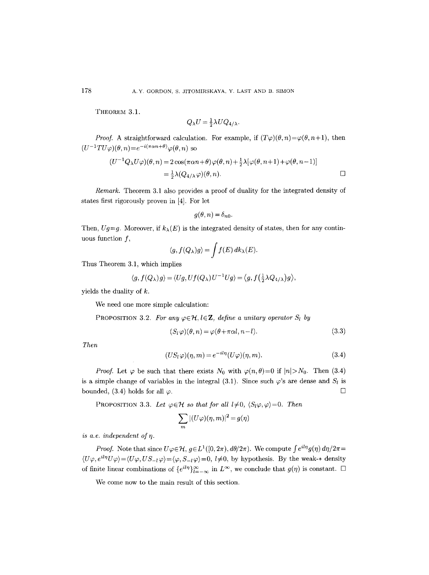THEOREM 3.1.

$$
Q_{\lambda}U = \frac{1}{2}\lambda U Q_{4/\lambda}.
$$

*Proof.* A straightforward calculation. For example, if  $(T\varphi)(\theta, n) = \varphi(\theta, n+1)$ , then  $(U^{-1}TU\varphi)(\theta,n)=e^{-i(\pi\alpha n+\theta)}\varphi(\theta,n)$  so

$$
(U^{-1}Q_{\lambda}U\varphi)(\theta,n) = 2\cos(\pi\alpha n+\theta)\varphi(\theta,n) + \frac{1}{2}\lambda[\varphi(\theta,n+1)+\varphi(\theta,n-1)]
$$
  
=  $\frac{1}{2}\lambda(Q_{4/\lambda}\varphi)(\theta,n).$ 

*Remark.* Theorem 3.1 also provides a proof of duality for the integrated density of states first rigorously proven in [4]. For let

$$
g(\theta,n)=\delta_{n0}.
$$

Then,  $Ug=g$ . Moreover, if  $k_{\lambda}(E)$  is the integrated density of states, then for any continuous function  $f$ ,

$$
\langle g, f(Q_{\lambda})g \rangle = \int f(E) \, dk_{\lambda}(E).
$$

Thus Theorem 3.1, which implies

$$
\langle g, f(Q_{\lambda}) g \rangle = \langle Ug, Uf(Q_{\lambda}) U^{-1} Ug \rangle = \langle g, f(\frac{1}{2} \lambda Q_{4/\lambda}) g \rangle,
$$

yields the duality of  $k$ .

We need one more simple calculation:

PROPOSITION 3.2. For any  $\varphi \in \mathcal{H}$ ,  $l \in \mathbb{Z}$ , define a unitary operator  $S_l$  by

$$
(S_l \varphi)(\theta, n) = \varphi(\theta + \pi \alpha l, n - l). \tag{3.3}
$$

*Then* 

$$
(US_l \varphi)(\eta, m) = e^{-il\eta}(U\varphi)(\eta, m). \tag{3.4}
$$

*Proof.* Let  $\varphi$  be such that there exists  $N_0$  with  $\varphi(n, \theta) = 0$  if  $|n| > N_0$ . Then (3.4) is a simple change of variables in the integral (3.1). Since such  $\varphi$ 's are dense and  $S_i$  is bounded, (3.4) holds for all  $\varphi$ .

PROPOSITION 3.3. Let  $\varphi \in \mathcal{H}$  so that for all  $l \neq 0$ ,  $\langle S_l \varphi, \varphi \rangle = 0$ . Then

$$
\sum_{m} |(U\varphi)(\eta,m)|^2 = g(\eta)
$$

*is a.e. independent of*  $\eta$ *.* 

*Proof.* Note that since  $U\varphi \in \mathcal{H}$ ,  $g \in L^1([0, 2\pi), d\theta/2\pi)$ . We compute  $\int e^{iln}g(\eta) d\eta/2\pi =$  $\langle U\varphi, e^{iln}U\varphi\rangle = \langle U\varphi, US_{-l}\varphi\rangle = \langle \varphi, S_{-l}\varphi\rangle = 0, l\neq 0$ , by hypothesis. By the weak-\* density of finite linear combinations of  $\{e^{il\eta}\}_{l=-\infty}^{\infty}$  in  $L^{\infty}$ , we conclude that  $g(\eta)$  is constant.  $\Box$ 

We come now to the main result of this section.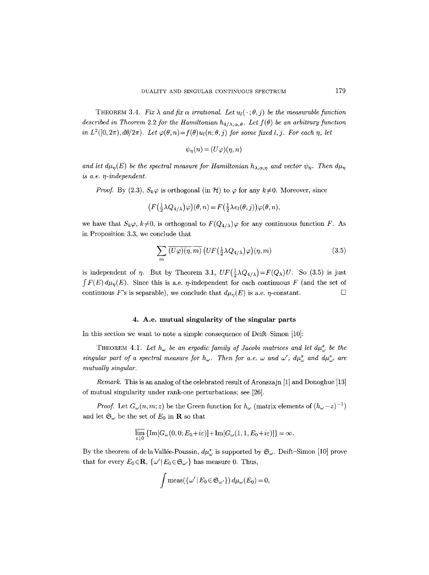THEOREM 3.4. Fix  $\lambda$  and fix  $\alpha$  irrational. Let  $u_l(\cdot; \theta, j)$  be the measurable function *described in Theorem 2.2 for the Hamiltonian*  $h_{4/\lambda,\alpha,\theta}$ . Let  $f(\theta)$  be an arbitrary function *in*  $L^2([0, 2\pi), d\theta/2\pi)$ . Let  $\varphi(\theta, n) = f(\theta)u_1(n; \theta, i)$  for some fixed l, *i*. For each *n*, let

$$
\psi_\eta(n)=(U\varphi)(\eta,n)
$$

*and let*  $d\mu_n(E)$  *be the spectral measure for Hamiltonian*  $h_{\lambda,\alpha,\eta}$  *and vector*  $\psi_n$ *. Then*  $d\mu_n$ *is a.e. q-independent.* 

*Proof.* By (2.3),  $S_k\varphi$  is orthogonal (in  $\mathcal{H}$ ) to  $\varphi$  for any  $k\neq 0$ . Moreover, since

$$
\big(F\big(\tfrac{1}{2}\lambda Q_{4/\lambda}\big)\varphi\big)(\theta,n) = F\big(\tfrac{1}{2}\lambda e_l(\theta,j)\big)\varphi(\theta,n),
$$

we have that  $S_k\varphi$ ,  $k\neq0$ , is orthogonal to  $F(Q_{4/\lambda})\varphi$  for any continuous function F. As in Proposition 3.3, we conclude that

$$
\sum_{m} \overline{(U\varphi)(\eta, m)} \left( UF\left(\frac{1}{2}\lambda Q_{4/\lambda}\right)\varphi\right)(\eta, m) \tag{3.5}
$$

is independent of  $\eta$ . But by Theorem 3.1,  $UF(\frac{1}{2}\lambda Q_{4/\lambda})=F(Q_{\lambda})U$ . So (3.5) is just  $\int F(E) d\mu_n(E)$ . Since this is a.e. *n*-independent for each continuous F (and the set of continuous F's is separable), we conclude that  $d\mu_n(E)$  is a.e. *n*-constant.  $\Box$ 

## **4. A.e. mutual singularity of the singular parts**

In this section we want to note a simple consequence of Deift-Simon [10]:

THEOREM 4.1. Let  $h_{\omega}$  be an ergodic family of Jacobi matrices and let  $d\mu_{\omega}^{s}$  be the *singular part of a spectral measure for*  $h_{\omega}$ *. Then for a.e.*  $\omega$  and  $\omega'$ ,  $d\mu_{\omega}^{s}$  and  $d\mu_{\omega'}^{s}$  are *mutually singular.* 

*Remark.* This is an analog of the celebrated result of Aronszajn [1] and Donoghue [13] of mutual singularity under rank-one perturbations; see [26].

*Proof.* Let  $G_{\omega}(n, m; z)$  be the Green function for  $h_{\omega}$  (matrix elements of  $(h_{\omega} - z)^{-1}$ ) and let  $\mathfrak{S}_{\omega}$  be the set of  $E_0$  in **R** so that

$$
\varlimsup_{\varepsilon\downarrow 0}\left\{\operatorname{Im} [G_\omega(0,0;E_0\!+\!i\varepsilon)]\!+\!\operatorname{Im} [G_\omega(1,1,E_0\!+\!i\varepsilon)]\right\}\!=\!\infty.
$$

By the theorem of de la Vallée-Poussin,  $d\mu_{\omega}^s$  is supported by  $\mathfrak{S}_{\omega}$ . Deift-Simon [10] prove that for every  $E_0 \in \mathbf{R}$ ,  $\{\omega' | E_0 \in \mathfrak{S}_{\omega'}\}$  has measure 0. Thus,

$$
\int \operatorname{meas}(\{\omega' | E_0 \in \mathfrak{S}_{\omega'}\}) d\mu_\omega(E_0) = 0,
$$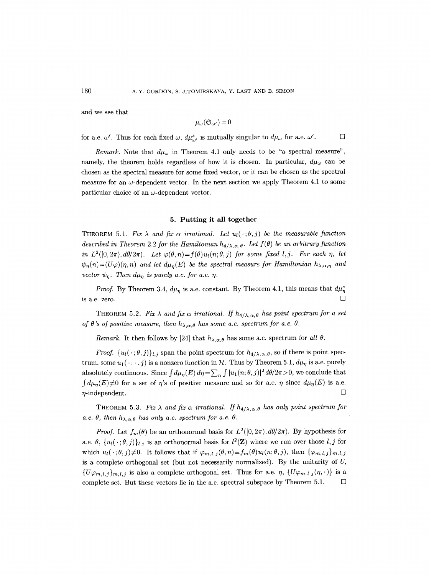and we see that

$$
\mu_{\omega}(\mathfrak{S}_{\omega'})=0
$$

for a.e.  $\omega'$ . Thus for each fixed  $\omega$ ,  $d\mu^s_{\omega'}$  is mutually singular to  $d\mu_{\omega}$  for a.e.  $\omega'$ .  $\Box$ 

*Remark.* Note that  $d\mu_{\omega}$  in Theorem 4.1 only needs to be "a spectral measure", namely, the theorem holds regardless of how it is chosen. In particular,  $d\mu_{\omega}$  can be chosen as the spectral measure for some fixed vector, or it can be chosen as the spectral measure for an  $\omega$ -dependent vector. In the next section we apply Theorem 4.1 to some particular choice of an  $\omega$ -dependent vector.

#### **5. Putting it all together**

THEOREM 5.1. Fix  $\lambda$  and fix  $\alpha$  irrational. Let  $u_l(\cdot;\theta,j)$  be the measurable function *described in Theorem 2.2 for the Hamiltonian*  $h_{4/\lambda,\alpha,\theta}$ . Let  $f(\theta)$  be an arbitrary function *in*  $L^2([0, 2\pi), d\theta/2\pi)$ . Let  $\varphi(\theta, n) = f(\theta)u_1(n; \theta, j)$  for some fixed  $l, j$ . For each  $\eta$ , let  $\psi_{\eta}(n)=(U\varphi)(\eta,n)$  and let  $d\mu_{\eta}(E)$  be the spectral measure for Hamiltonian  $h_{\lambda,\alpha,\eta}$  and *vector*  $\psi_n$ . Then  $d\mu_n$  is purely a.c. for a.e.  $\eta$ .

*Proof.* By Theorem 3.4,  $d\mu_n$  is a.e. constant. By Theorem 4.1, this means that  $d\mu_n^s$ is a.e. zero.  $\Box$ 

THEOREM 5.2. Fix  $\lambda$  and fix  $\alpha$  irrational. If  $h_{4/\lambda,\alpha,\theta}$  has point spectrum for a set *of*  $\theta$ *'s of positive measure, then*  $h_{\lambda,\alpha,\theta}$  has some a.c. spectrum for a.e.  $\theta$ .

*Remark.* It then follows by [24] that  $h_{\lambda,\alpha,\theta}$  has some a.c. spectrum for all  $\theta$ .

*Proof.*  $\{u_l(\cdot;\theta,j)\}_{l,j}$  span the point spectrum for  $h_{4/\lambda,\alpha,\theta}$ , so if there is point spectrum, some  $u_1(\cdot; \cdot, j)$  is a nonzero function in H. Thus by Theorem 5.1,  $d\mu_{\eta}$  is a.e. purely absolutely continuous. Since  $\int d\mu_n(E) d\eta = \sum_n \int |u_1(n;\theta,j)|^2 d\theta/2\pi > 0$ , we conclude that  $\int d\mu_n(E) \neq 0$  for a set of  $\eta$ 's of positive measure and so for a.e.  $\eta$  since  $d\mu_n(E)$  is a.e.  $\eta$ -independent.  $\Box$ 

THEOREM 5.3. Fix  $\lambda$  and fix  $\alpha$  irrational. If  $h_{4/\lambda,\alpha,\theta}$  has only point spectrum for *a.e.*  $\theta$ , then  $h_{\lambda,\alpha,\theta}$  has only a.c. spectrum for a.e.  $\theta$ .

*Proof.* Let  $f_m(\theta)$  be an orthonormal basis for  $L^2([0, 2\pi), d\theta/2\pi)$ . By hypothesis for a.e.  $\theta$ ,  $\{u_l(\cdot;\theta,j)\}_{l,j}$  is an orthonormal basis for  $l^2(\mathbf{Z})$  where we run over those  $l, j$  for which  $u_l(\cdot;\theta,j)\neq 0$ . It follows that if  $\varphi_{m,l,j}(\theta,n) \equiv f_m(\theta)u_l(n;\theta,j)$ , then  $\{\varphi_{m,l,j}\}_{m,l,j}$ is a complete orthogonal set (but not necessarily normalized). By the unitarity of U,  $\{U\varphi_{m,l,j}\}_{m,l,j}$  is also a complete orthogonal set. Thus for a.e.  $\eta$ ,  $\{U\varphi_{m,l,j}(\eta,\cdot)\}\$ is a complete set. But these vectors lie in the a.c. spectral subspace by Theorem 5.1.  $\Box$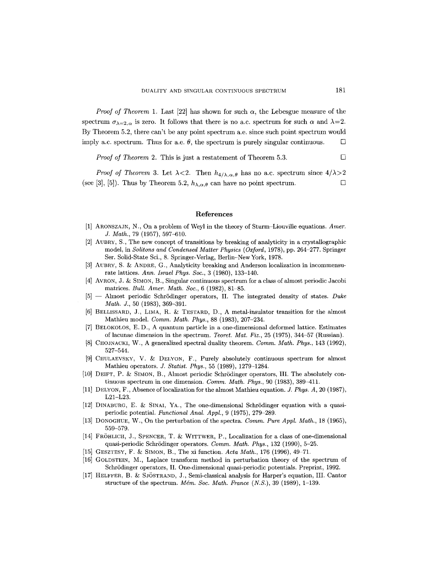*Proof of Theorem 1.* Last [22] has shown for such  $\alpha$ , the Lebesgue measure of the spectrum  $\sigma_{\lambda=2,\alpha}$  is zero. It follows that there is no a.c. spectrum for such  $\alpha$  and  $\lambda=2$ . By Theorem 5.2, there can't be any point spectrum a.e. since such point spectrum would imply a.c. spectrum. Thus for a.e.  $\theta$ , the spectrum is purely singular continuous.  $\Box$ 

*Proof of Theorem 2.* This is just a restatement of Theorem 5.3. □

*Proof of Theorem 3.* Let  $\lambda < 2$ . Then  $h_{4/\lambda,\alpha,\theta}$  has no a.c. spectrum since  $4/\lambda > 2$ (see [3], [5]). Thus by Theorem 5.2,  $h_{\lambda,\alpha,\theta}$  can have no point spectrum.

#### **References**

- [1] ARONSZAJN, N., On a problem of Weyl in the theory of Sturm-Liouville equations. *Amer. J. Math.,* 79 (1957), 597-610.
- [2] AUBRY, S., The new concept of transitions by breaking of analyticity in a crystallographic model, in *Solitons and Condensed Matter Physics (Oxford,* 1978), pp. 264 277. Springer Ser. Solid-State Sci., 8. Springer-Verlag, Berlin-New York, 1978.
- [3] AUBRY, S. & ANDRE, G., Analyticity breaking and Anderson localization in incommensurate lattices. *Ann. Israel Phys. Soc.,* 3 (1980), 133-140.
- [4] AVRON, J. & SIMON, B., Singular continuous spectrum for a class of almost periodic Jacobi matrices. *Bull. Amer. Math. Soe.,* 6 (1982), 81-85.
- [5] -- Almost periodic Schrödinger operators, II. The integrated density of states. *Duke Math. J.,* 50 (1983), 369-391.
- $[6]$  BELLISSARD, J., LIMA, R. & TESTARD, D., A metal-insulator transition for the almost Mathieu model. *Comm. Math. Phys.,* 88 (1983), 207-234.
- [7] BELOKOLOS, E.D., A quantum particle in a one-dimensional deformed lattice. Estimates of lacunae dimension in the spectrum. *Teoret. Mat. Fiz.,* 25 (1975), 344-57 (Russian).
- [8] CHOJNACKI, W., A generalized spectral duality theorem. *Comm. Math. Phys.,* 143 (1992), 527-544.
- [9] CHULAEVSKY, V. & DELYON, F., Purely absolutely continuous spectrum for almost Mathieu operators. *J. Statist. Phys.,* 55 (1989), 1279-1284.
- [10] DEIFT, P. & SIMON, B., Almost periodic Schrödinger operators, III. The absolutely continuous spectrum in one dimension. *Comm. Math. Phys.,* 90 (1983), 389-411.
- [11] DELYON, F., Absence of localization for the almost Mathieu equation. *J. Phys. A,* 20 (1987), L21-L23.
- $[12]$  DINABURG, E. & SINAI, YA., The one-dimensional Schrödinger equation with a quasiperiodic potential. *Functional Anal. Appl.,* 9 (1975), 279 289.
- [13] DONOGHUE, W., On the perturbation of the spectra. *Comm. Pure Appl. Math.,* 18 (1965), 559-579.
- [14] FRÖHLICH, J., SPENCER, T. & WITTWER, P., Localization for a class of one-dimensional quasi-periodic Schrödinger operators. *Comm. Math. Phys.*, 132 (1990), 5-25.
- [15] GESZTESY, F. & SIMON, B., The xi function. *Acta Math.*, 176 (1996), 49–71.
- [16] GOLDSTEIN, M., Laplace transform method in perturbation theory of the spectrum of Schrödinger operators, II. One-dimensional quasi-periodic potentials. Preprint, 1992.
- [17] HELFFER, B. & SJÖSTRAND, J., Semi-classical analysis for Harper's equation, III. Cantor structure of the spectrum. *Mém. Soc. Math. France* (*N.S.*), 39 (1989), 1-139.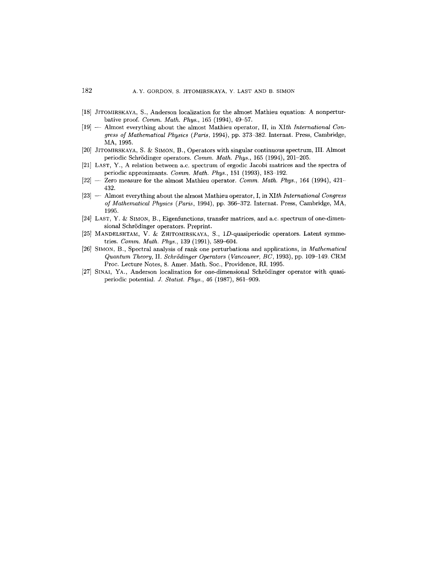- [18] JITOMIRSKAYA, S., Anderson localization for the almost Mathieu equation: A nonperturbative proof. *Comm. Math. Phys.,* 165 (1994), 49-57.
- [19] -- Almost everything about the almost Mathieu operator, II, in *XIth International Congress of Mathematical Physics (Paris,* 1994), pp. 373-382. Internat. Press, Cambridge, MA, 1995.
- [20] JITOMIRSKAYA, S. & SIMON, B., Operators with singular continuous spectrum, III. Almost periodic Schrödinger operators. *Comm. Math. Phys.*, 165 (1994), 201-205.
- [21] LAST, Y., A relation between a.c. spectrum of ergodic Jacobi matrices and the spectra of periodic approximants. *Comm. Math. Phys.,* 151 (1993), 183-192.
- [22] -- Zero measure for the almost Mathieu operator. *Comm. Math. Phys.,* 164 (1994), 421- 432.
- [23] -- Almost everything about the almost Mathieu operator, I, in *XIth International Congress of Mathematical Physics (Paris,* 1994), pp. 366-372. Internat. Press, Cambridge, MA, 1995.
- $[24]$  LAST, Y. & SIMON, B., Eigenfunctions, transfer matrices, and a.c. spectrum of one-dimensional Schrödinger operators. Preprint.
- [25] MANDELSHTAM, V. & ZHITOMIRSKAYA, S.,  $1D$ -quasiperiodic operators. Latent symmetries. *Comm. Math. Phys.,* 139 (1991), 589-604.
- [26] SIMON, B., Spectral analysis of rank one perturbations and applications, in *Mathematical Quantum Theory,* II. *SchrSdinger Operators (Vancouver, BC,* 1993), pp. 109-149. CRM Proc. Lecture Notes, 8. Amer. Math. Soc., Providence, RI, 1995.
- [27] SINAI, YA., Anderson localization for one-dimensional Schrödinger operator with quasiperiodic potential. *J. Statist. Phys.,* 46 (1987), 861-909.